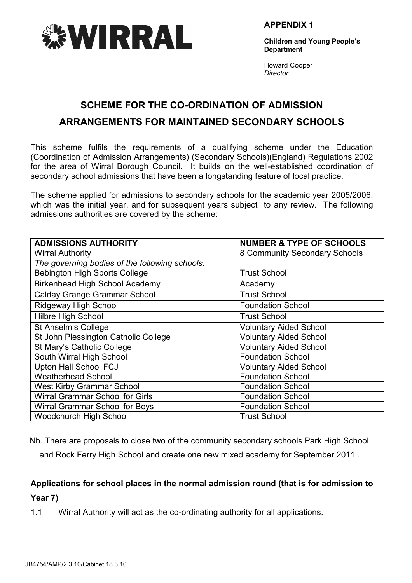

APPENDIX 1

Children and Young People's **Department** 

Howard Cooper **Director** 

# SCHEME FOR THE CO-ORDINATION OF ADMISSION ARRANGEMENTS FOR MAINTAINED SECONDARY SCHOOLS

This scheme fulfils the requirements of a qualifying scheme under the Education (Coordination of Admission Arrangements) (Secondary Schools)(England) Regulations 2002 for the area of Wirral Borough Council. It builds on the well-established coordination of secondary school admissions that have been a longstanding feature of local practice.

The scheme applied for admissions to secondary schools for the academic year 2005/2006, which was the initial year, and for subsequent years subject to any review. The following admissions authorities are covered by the scheme:

| <b>ADMISSIONS AUTHORITY</b>                    | <b>NUMBER &amp; TYPE OF SCHOOLS</b> |
|------------------------------------------------|-------------------------------------|
| <b>Wirral Authority</b>                        | 8 Community Secondary Schools       |
| The governing bodies of the following schools: |                                     |
| Bebington High Sports College                  | <b>Trust School</b>                 |
| <b>Birkenhead High School Academy</b>          | Academy                             |
| <b>Calday Grange Grammar School</b>            | <b>Trust School</b>                 |
| <b>Ridgeway High School</b>                    | <b>Foundation School</b>            |
| <b>Hilbre High School</b>                      | <b>Trust School</b>                 |
| St Anselm's College                            | <b>Voluntary Aided School</b>       |
| St John Plessington Catholic College           | <b>Voluntary Aided School</b>       |
| St Mary's Catholic College                     | <b>Voluntary Aided School</b>       |
| South Wirral High School                       | <b>Foundation School</b>            |
| <b>Upton Hall School FCJ</b>                   | <b>Voluntary Aided School</b>       |
| <b>Weatherhead School</b>                      | <b>Foundation School</b>            |
| <b>West Kirby Grammar School</b>               | <b>Foundation School</b>            |
| Wirral Grammar School for Girls                | <b>Foundation School</b>            |
| Wirral Grammar School for Boys                 | <b>Foundation School</b>            |
| <b>Woodchurch High School</b>                  | <b>Trust School</b>                 |

Nb. There are proposals to close two of the community secondary schools Park High School

and Rock Ferry High School and create one new mixed academy for September 2011 .

# Applications for school places in the normal admission round (that is for admission to

Year 7)

1.1 Wirral Authority will act as the co-ordinating authority for all applications.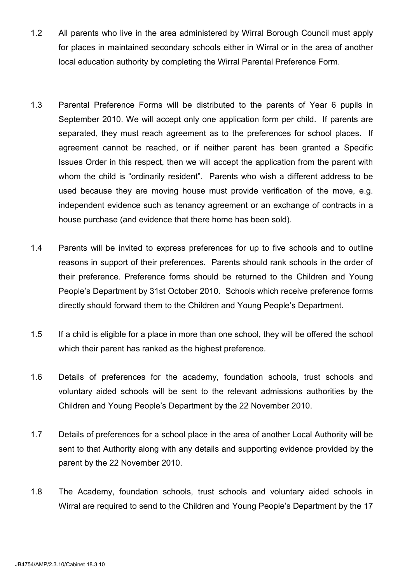- 1.2 All parents who live in the area administered by Wirral Borough Council must apply for places in maintained secondary schools either in Wirral or in the area of another local education authority by completing the Wirral Parental Preference Form.
- 1.3 Parental Preference Forms will be distributed to the parents of Year 6 pupils in September 2010. We will accept only one application form per child. If parents are separated, they must reach agreement as to the preferences for school places. If agreement cannot be reached, or if neither parent has been granted a Specific Issues Order in this respect, then we will accept the application from the parent with whom the child is "ordinarily resident". Parents who wish a different address to be used because they are moving house must provide verification of the move, e.g. independent evidence such as tenancy agreement or an exchange of contracts in a house purchase (and evidence that there home has been sold).
- 1.4 Parents will be invited to express preferences for up to five schools and to outline reasons in support of their preferences. Parents should rank schools in the order of their preference. Preference forms should be returned to the Children and Young People's Department by 31st October 2010. Schools which receive preference forms directly should forward them to the Children and Young People's Department.
- 1.5 If a child is eligible for a place in more than one school, they will be offered the school which their parent has ranked as the highest preference.
- 1.6 Details of preferences for the academy, foundation schools, trust schools and voluntary aided schools will be sent to the relevant admissions authorities by the Children and Young People's Department by the 22 November 2010.
- 1.7 Details of preferences for a school place in the area of another Local Authority will be sent to that Authority along with any details and supporting evidence provided by the parent by the 22 November 2010.
- 1.8 The Academy, foundation schools, trust schools and voluntary aided schools in Wirral are required to send to the Children and Young People's Department by the 17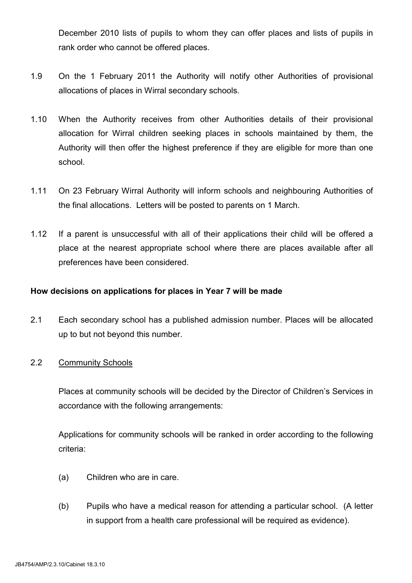December 2010 lists of pupils to whom they can offer places and lists of pupils in rank order who cannot be offered places.

- 1.9 On the 1 February 2011 the Authority will notify other Authorities of provisional allocations of places in Wirral secondary schools.
- 1.10 When the Authority receives from other Authorities details of their provisional allocation for Wirral children seeking places in schools maintained by them, the Authority will then offer the highest preference if they are eligible for more than one school.
- 1.11 On 23 February Wirral Authority will inform schools and neighbouring Authorities of the final allocations. Letters will be posted to parents on 1 March.
- 1.12 If a parent is unsuccessful with all of their applications their child will be offered a place at the nearest appropriate school where there are places available after all preferences have been considered.

### How decisions on applications for places in Year 7 will be made

2.1 Each secondary school has a published admission number. Places will be allocated up to but not beyond this number.

### 2.2 Community Schools

 Places at community schools will be decided by the Director of Children's Services in accordance with the following arrangements:

 Applications for community schools will be ranked in order according to the following criteria:

- (a) Children who are in care.
- (b) Pupils who have a medical reason for attending a particular school. (A letter in support from a health care professional will be required as evidence).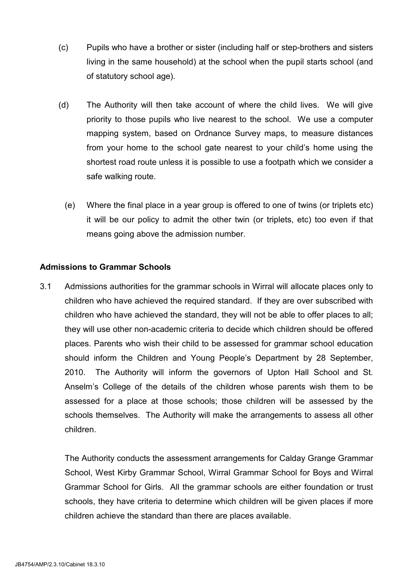- (c) Pupils who have a brother or sister (including half or step-brothers and sisters living in the same household) at the school when the pupil starts school (and of statutory school age).
- (d) The Authority will then take account of where the child lives. We will give priority to those pupils who live nearest to the school. We use a computer mapping system, based on Ordnance Survey maps, to measure distances from your home to the school gate nearest to your child's home using the shortest road route unless it is possible to use a footpath which we consider a safe walking route.
	- (e) Where the final place in a year group is offered to one of twins (or triplets etc) it will be our policy to admit the other twin (or triplets, etc) too even if that means going above the admission number.

## Admissions to Grammar Schools

3.1 Admissions authorities for the grammar schools in Wirral will allocate places only to children who have achieved the required standard. If they are over subscribed with children who have achieved the standard, they will not be able to offer places to all; they will use other non-academic criteria to decide which children should be offered places. Parents who wish their child to be assessed for grammar school education should inform the Children and Young People's Department by 28 September, 2010. The Authority will inform the governors of Upton Hall School and St. Anselm's College of the details of the children whose parents wish them to be assessed for a place at those schools; those children will be assessed by the schools themselves. The Authority will make the arrangements to assess all other children.

The Authority conducts the assessment arrangements for Calday Grange Grammar School, West Kirby Grammar School, Wirral Grammar School for Boys and Wirral Grammar School for Girls. All the grammar schools are either foundation or trust schools, they have criteria to determine which children will be given places if more children achieve the standard than there are places available.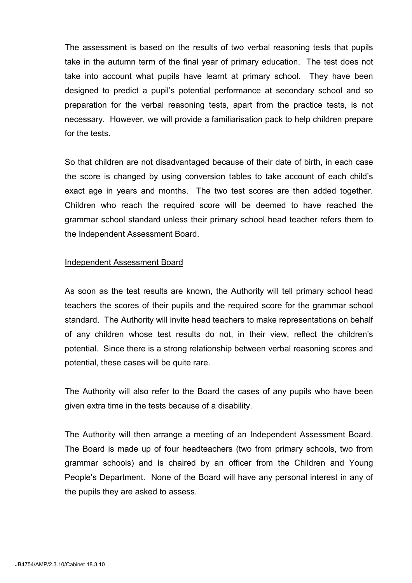The assessment is based on the results of two verbal reasoning tests that pupils take in the autumn term of the final year of primary education. The test does not take into account what pupils have learnt at primary school. They have been designed to predict a pupil's potential performance at secondary school and so preparation for the verbal reasoning tests, apart from the practice tests, is not necessary. However, we will provide a familiarisation pack to help children prepare for the tests.

So that children are not disadvantaged because of their date of birth, in each case the score is changed by using conversion tables to take account of each child's exact age in years and months. The two test scores are then added together. Children who reach the required score will be deemed to have reached the grammar school standard unless their primary school head teacher refers them to the Independent Assessment Board.

#### Independent Assessment Board

As soon as the test results are known, the Authority will tell primary school head teachers the scores of their pupils and the required score for the grammar school standard. The Authority will invite head teachers to make representations on behalf of any children whose test results do not, in their view, reflect the children's potential. Since there is a strong relationship between verbal reasoning scores and potential, these cases will be quite rare.

 The Authority will also refer to the Board the cases of any pupils who have been given extra time in the tests because of a disability.

The Authority will then arrange a meeting of an Independent Assessment Board. The Board is made up of four headteachers (two from primary schools, two from grammar schools) and is chaired by an officer from the Children and Young People's Department. None of the Board will have any personal interest in any of the pupils they are asked to assess.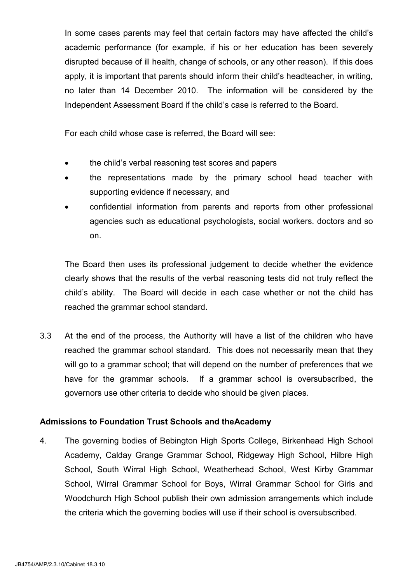In some cases parents may feel that certain factors may have affected the child's academic performance (for example, if his or her education has been severely disrupted because of ill health, change of schools, or any other reason). If this does apply, it is important that parents should inform their child's headteacher, in writing, no later than 14 December 2010. The information will be considered by the Independent Assessment Board if the child's case is referred to the Board.

For each child whose case is referred, the Board will see:

- the child's verbal reasoning test scores and papers
- the representations made by the primary school head teacher with supporting evidence if necessary, and
- confidential information from parents and reports from other professional agencies such as educational psychologists, social workers. doctors and so on.

The Board then uses its professional judgement to decide whether the evidence clearly shows that the results of the verbal reasoning tests did not truly reflect the child's ability. The Board will decide in each case whether or not the child has reached the grammar school standard.

3.3 At the end of the process, the Authority will have a list of the children who have reached the grammar school standard. This does not necessarily mean that they will go to a grammar school; that will depend on the number of preferences that we have for the grammar schools. If a grammar school is oversubscribed, the governors use other criteria to decide who should be given places.

# Admissions to Foundation Trust Schools and theAcademy

4. The governing bodies of Bebington High Sports College, Birkenhead High School Academy, Calday Grange Grammar School, Ridgeway High School, Hilbre High School, South Wirral High School, Weatherhead School, West Kirby Grammar School, Wirral Grammar School for Boys, Wirral Grammar School for Girls and Woodchurch High School publish their own admission arrangements which include the criteria which the governing bodies will use if their school is oversubscribed.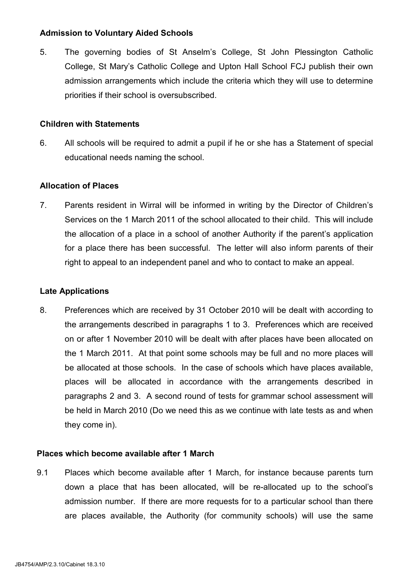### Admission to Voluntary Aided Schools

5. The governing bodies of St Anselm's College, St John Plessington Catholic College, St Mary's Catholic College and Upton Hall School FCJ publish their own admission arrangements which include the criteria which they will use to determine priorities if their school is oversubscribed.

#### Children with Statements

6. All schools will be required to admit a pupil if he or she has a Statement of special educational needs naming the school.

#### Allocation of Places

7. Parents resident in Wirral will be informed in writing by the Director of Children's Services on the 1 March 2011 of the school allocated to their child. This will include the allocation of a place in a school of another Authority if the parent's application for a place there has been successful. The letter will also inform parents of their right to appeal to an independent panel and who to contact to make an appeal.

#### Late Applications

8. Preferences which are received by 31 October 2010 will be dealt with according to the arrangements described in paragraphs 1 to 3. Preferences which are received on or after 1 November 2010 will be dealt with after places have been allocated on the 1 March 2011. At that point some schools may be full and no more places will be allocated at those schools. In the case of schools which have places available, places will be allocated in accordance with the arrangements described in paragraphs 2 and 3. A second round of tests for grammar school assessment will be held in March 2010 (Do we need this as we continue with late tests as and when they come in).

#### Places which become available after 1 March

9.1 Places which become available after 1 March, for instance because parents turn down a place that has been allocated, will be re-allocated up to the school's admission number. If there are more requests for to a particular school than there are places available, the Authority (for community schools) will use the same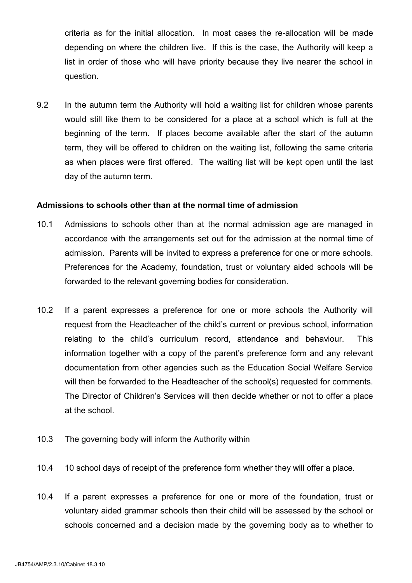criteria as for the initial allocation. In most cases the re-allocation will be made depending on where the children live. If this is the case, the Authority will keep a list in order of those who will have priority because they live nearer the school in question.

9.2 In the autumn term the Authority will hold a waiting list for children whose parents would still like them to be considered for a place at a school which is full at the beginning of the term. If places become available after the start of the autumn term, they will be offered to children on the waiting list, following the same criteria as when places were first offered. The waiting list will be kept open until the last day of the autumn term.

#### Admissions to schools other than at the normal time of admission

- 10.1 Admissions to schools other than at the normal admission age are managed in accordance with the arrangements set out for the admission at the normal time of admission. Parents will be invited to express a preference for one or more schools. Preferences for the Academy, foundation, trust or voluntary aided schools will be forwarded to the relevant governing bodies for consideration.
- 10.2 If a parent expresses a preference for one or more schools the Authority will request from the Headteacher of the child's current or previous school, information relating to the child's curriculum record, attendance and behaviour. This information together with a copy of the parent's preference form and any relevant documentation from other agencies such as the Education Social Welfare Service will then be forwarded to the Headteacher of the school(s) requested for comments. The Director of Children's Services will then decide whether or not to offer a place at the school.
- 10.3 The governing body will inform the Authority within
- 10.4 10 school days of receipt of the preference form whether they will offer a place.
- 10.4 If a parent expresses a preference for one or more of the foundation, trust or voluntary aided grammar schools then their child will be assessed by the school or schools concerned and a decision made by the governing body as to whether to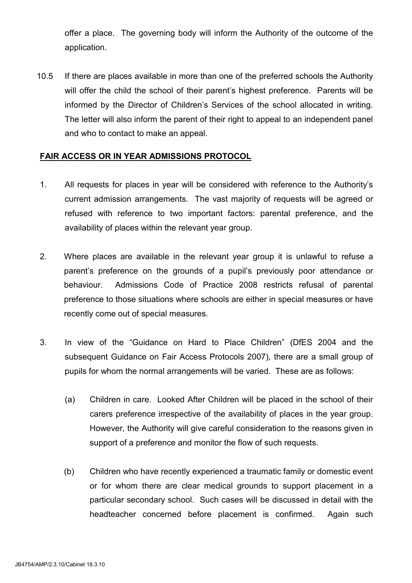offer a place. The governing body will inform the Authority of the outcome of the application.

10.5 If there are places available in more than one of the preferred schools the Authority will offer the child the school of their parent's highest preference. Parents will be informed by the Director of Children's Services of the school allocated in writing. The letter will also inform the parent of their right to appeal to an independent panel and who to contact to make an appeal.

#### FAIR ACCESS OR IN YEAR ADMISSIONS PROTOCOL

- 1. All requests for places in year will be considered with reference to the Authority's current admission arrangements. The vast majority of requests will be agreed or refused with reference to two important factors: parental preference, and the availability of places within the relevant year group.
- 2. Where places are available in the relevant year group it is unlawful to refuse a parent's preference on the grounds of a pupil's previously poor attendance or behaviour. Admissions Code of Practice 2008 restricts refusal of parental preference to those situations where schools are either in special measures or have recently come out of special measures.
- 3. In view of the "Guidance on Hard to Place Children" (DfES 2004 and the subsequent Guidance on Fair Access Protocols 2007), there are a small group of pupils for whom the normal arrangements will be varied. These are as follows:
	- (a) Children in care. Looked After Children will be placed in the school of their carers preference irrespective of the availability of places in the year group. However, the Authority will give careful consideration to the reasons given in support of a preference and monitor the flow of such requests.
	- (b) Children who have recently experienced a traumatic family or domestic event or for whom there are clear medical grounds to support placement in a particular secondary school. Such cases will be discussed in detail with the headteacher concerned before placement is confirmed. Again such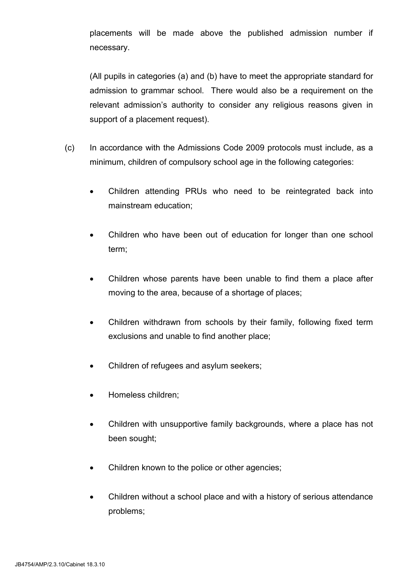placements will be made above the published admission number if necessary.

(All pupils in categories (a) and (b) have to meet the appropriate standard for admission to grammar school. There would also be a requirement on the relevant admission's authority to consider any religious reasons given in support of a placement request).

- (c) In accordance with the Admissions Code 2009 protocols must include, as a minimum, children of compulsory school age in the following categories:
	- Children attending PRUs who need to be reintegrated back into mainstream education;
	- Children who have been out of education for longer than one school term;
	- Children whose parents have been unable to find them a place after moving to the area, because of a shortage of places;
	- Children withdrawn from schools by their family, following fixed term exclusions and unable to find another place;
	- Children of refugees and asylum seekers;
	- Homeless children;
	- Children with unsupportive family backgrounds, where a place has not been sought;
	- Children known to the police or other agencies;
	- Children without a school place and with a history of serious attendance problems;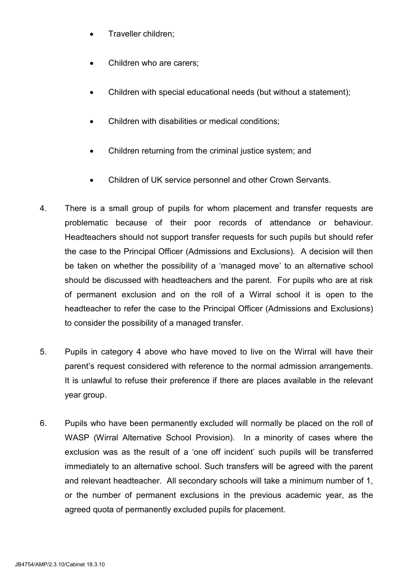- Traveller children;
- Children who are carers;
- Children with special educational needs (but without a statement);
- Children with disabilities or medical conditions;
- Children returning from the criminal justice system; and
- Children of UK service personnel and other Crown Servants.
- 4. There is a small group of pupils for whom placement and transfer requests are problematic because of their poor records of attendance or behaviour. Headteachers should not support transfer requests for such pupils but should refer the case to the Principal Officer (Admissions and Exclusions). A decision will then be taken on whether the possibility of a 'managed move' to an alternative school should be discussed with headteachers and the parent. For pupils who are at risk of permanent exclusion and on the roll of a Wirral school it is open to the headteacher to refer the case to the Principal Officer (Admissions and Exclusions) to consider the possibility of a managed transfer.
- 5. Pupils in category 4 above who have moved to live on the Wirral will have their parent's request considered with reference to the normal admission arrangements. It is unlawful to refuse their preference if there are places available in the relevant year group.
- 6. Pupils who have been permanently excluded will normally be placed on the roll of WASP (Wirral Alternative School Provision). In a minority of cases where the exclusion was as the result of a 'one off incident' such pupils will be transferred immediately to an alternative school. Such transfers will be agreed with the parent and relevant headteacher. All secondary schools will take a minimum number of 1, or the number of permanent exclusions in the previous academic year, as the agreed quota of permanently excluded pupils for placement.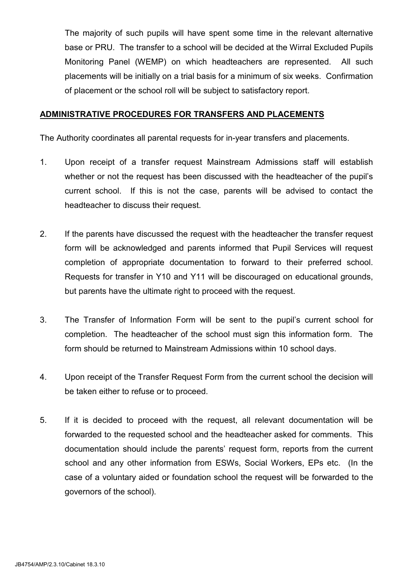The majority of such pupils will have spent some time in the relevant alternative base or PRU. The transfer to a school will be decided at the Wirral Excluded Pupils Monitoring Panel (WEMP) on which headteachers are represented. All such placements will be initially on a trial basis for a minimum of six weeks. Confirmation of placement or the school roll will be subject to satisfactory report.

#### ADMINISTRATIVE PROCEDURES FOR TRANSFERS AND PLACEMENTS

The Authority coordinates all parental requests for in-year transfers and placements.

- 1. Upon receipt of a transfer request Mainstream Admissions staff will establish whether or not the request has been discussed with the headteacher of the pupil's current school. If this is not the case, parents will be advised to contact the headteacher to discuss their request.
- 2. If the parents have discussed the request with the headteacher the transfer request form will be acknowledged and parents informed that Pupil Services will request completion of appropriate documentation to forward to their preferred school. Requests for transfer in Y10 and Y11 will be discouraged on educational grounds, but parents have the ultimate right to proceed with the request.
- 3. The Transfer of Information Form will be sent to the pupil's current school for completion. The headteacher of the school must sign this information form. The form should be returned to Mainstream Admissions within 10 school days.
- 4. Upon receipt of the Transfer Request Form from the current school the decision will be taken either to refuse or to proceed.
- 5. If it is decided to proceed with the request, all relevant documentation will be forwarded to the requested school and the headteacher asked for comments. This documentation should include the parents' request form, reports from the current school and any other information from ESWs, Social Workers, EPs etc. (In the case of a voluntary aided or foundation school the request will be forwarded to the governors of the school).